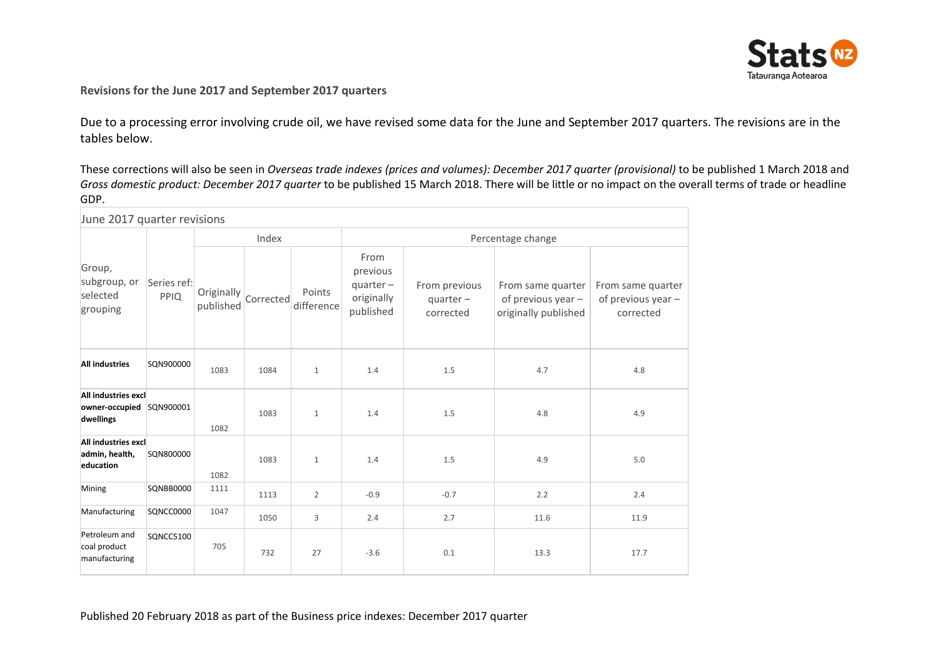

## **Revisions for the June 2017 and September 2017 quarters**

Due to a processing error involving crude oil, we have revised some data for the June and September 2017 quarters. The revisions are in the tables below.

These corrections will also be seen in *Overseas trade indexes (prices and volumes): December 2017 quarter (provisional)* to be published 1 March 2018 and *Gross domestic product: December 2017 quarter* to be published 15 March 2018. There will be little or no impact on the overall terms of trade or headline GDP.

| June 2017 quarter revisions                        |                     |                         |           |                      |                                                           |                                          |                                                                 |                                                      |  |
|----------------------------------------------------|---------------------|-------------------------|-----------|----------------------|-----------------------------------------------------------|------------------------------------------|-----------------------------------------------------------------|------------------------------------------------------|--|
|                                                    |                     | Index                   |           |                      | Percentage change                                         |                                          |                                                                 |                                                      |  |
| Group,<br>subgroup, or<br>selected<br>grouping     | Series ref:<br>PPIQ | Originally<br>published | Corrected | Points<br>difference | From<br>previous<br>$quarter-$<br>originally<br>published | From previous<br>$quarter-$<br>corrected | From same quarter<br>of previous year -<br>originally published | From same quarter<br>of previous year -<br>corrected |  |
| <b>All industries</b>                              | SQN900000           | 1083                    | 1084      | $\mathbf{1}$         | 1.4                                                       | 1.5                                      | 4.7                                                             | 4.8                                                  |  |
| All industries excl<br>owner-occupied<br>dwellings | SQN900001           | 1082                    | 1083      | $\mathbf{1}$         | 1.4                                                       | 1.5                                      | 4.8                                                             | 4.9                                                  |  |
| All industries excl<br>admin, health,<br>education | SQN800000           | 1082                    | 1083      | $\mathbf{1}$         | 1.4                                                       | 1.5                                      | 4.9                                                             | 5.0                                                  |  |
| Mining                                             | <b>SQNBB0000</b>    | 1111                    | 1113      | $\overline{2}$       | $-0.9$                                                    | $-0.7$                                   | 2.2                                                             | 2.4                                                  |  |
| Manufacturing                                      | SQNCC0000           | 1047                    | 1050      | 3                    | 2.4                                                       | 2.7                                      | 11.6                                                            | 11.9                                                 |  |
| Petroleum and<br>coal product<br>manufacturing     | SQNCC5100           | 705                     | 732       | 27                   | $-3.6$                                                    | 0.1                                      | 13.3                                                            | 17.7                                                 |  |